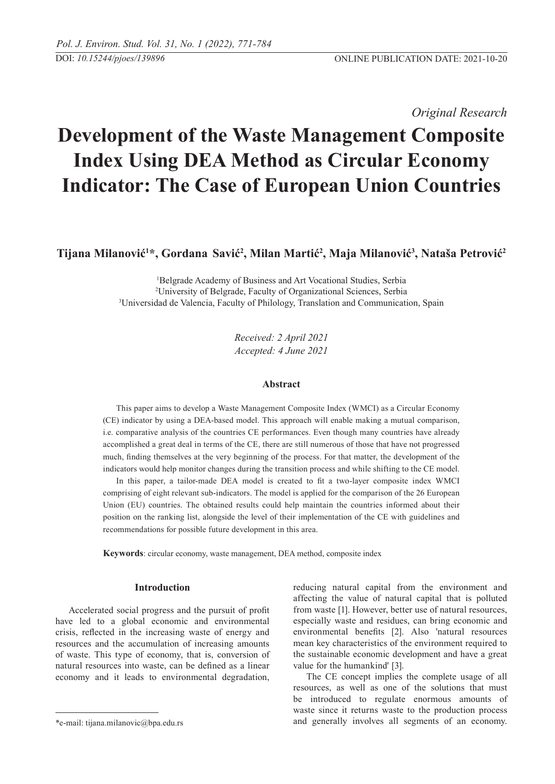*Original Research* 

# **Development of the Waste Management Composite Index Using DEA Method as Circular Economy Indicator: The Case of European Union Countries**

**Tijana Milanović<sup>1</sup> \*, Gordana Savić<sup>2</sup> , Milan Martić<sup>2</sup> , Maja Milanović<sup>3</sup> , Nataša Petrović<sup>2</sup>**

1 Belgrade Academy of Business and Art Vocational Studies, Serbia 2 University of Belgrade, Faculty of Organizational Sciences, Serbia 3 Universidad de Valencia, Faculty of Philology, Translation and Communication, Spain

> *Received: 2 April 2021 Accepted: 4 June 2021*

## **Abstract**

This paper aims to develop a Waste Management Composite Index (WMCI) as a Circular Economy (CE) indicator by using a DEA-based model. This approach will enable making a mutual comparison, i.e. comparative analysis of the countries CE performances. Even though many countries have already accomplished a great deal in terms of the CE, there are still numerous of those that have not progressed much, finding themselves at the very beginning of the process. For that matter, the development of the indicators would help monitor changes during the transition process and while shifting to the CE model.

In this paper, a tailor-made DEA model is created to fit a two-layer composite index WMCI comprising of eight relevant sub-indicators. The model is applied for the comparison of the 26 European Union (EU) countries. The obtained results could help maintain the countries informed about their position on the ranking list, alongside the level of their implementation of the CE with guidelines and recommendations for possible future development in this area.

**Keywords**: circular economy, waste management, DEA method, composite index

# **Introduction**

Accelerated social progress and the pursuit of profit have led to a global economic and environmental crisis, reflected in the increasing waste of energy and resources and the accumulation of increasing amounts of waste. This type of economy, that is, conversion of natural resources into waste, can be defined as a linear economy and it leads to environmental degradation,

reducing natural capital from the environment and affecting the value of natural capital that is polluted from waste [1]. However, better use of natural resources, especially waste and residues, can bring economic and environmental benefits [2]. Also 'natural resources mean key characteristics of the environment required to the sustainable economic development and have a great value for the humankind' [3].

The CE concept implies the complete usage of all resources, as well as one of the solutions that must be introduced to regulate enormous amounts of waste since it returns waste to the production process and generally involves all segments of an economy.

<sup>\*</sup>e-mail: tijana.milanovic@bpa.edu.rs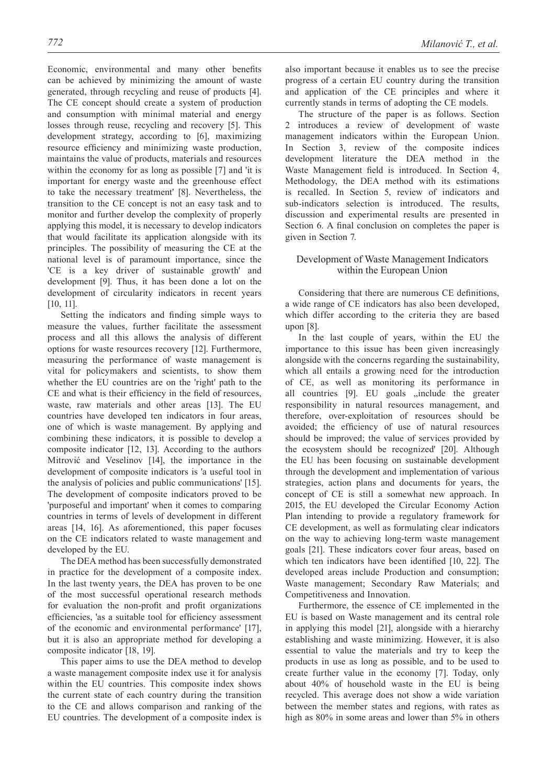Economic, environmental and many other benefits can be achieved by minimizing the amount of waste generated, through recycling and reuse of products [4]. The CE concept should create a system of production and consumption with minimal material and energy losses through reuse, recycling and recovery [5]. This development strategy, according to [6], maximizing resource efficiency and minimizing waste production, maintains the value of products, materials and resources within the economy for as long as possible [7] and 'it is important for energy waste and the greenhouse effect to take the necessary treatment' [8]. Nevertheless, the transition to the CE concept is not an easy task and to monitor and further develop the complexity of properly applying this model, it is necessary to develop indicators that would facilitate its application alongside with its principles. The possibility of measuring the CE at the national level is of paramount importance, since the 'CE is a key driver of sustainable growth' and development [9]. Thus, it has been done a lot on the development of circularity indicators in recent years [10, 11].

Setting the indicators and finding simple ways to measure the values, further facilitate the assessment process and all this allows the analysis of different options for waste resources recovery [12]. Furthermore, measuring the performance of waste management is vital for policymakers and scientists, to show them whether the EU countries are on the 'right' path to the CE and what is their efficiency in the field of resources, waste, raw materials and other areas [13]. The EU countries have developed ten indicators in four areas, one of which is waste management. By applying and combining these indicators, it is possible to develop a composite indicator [12, 13]. According to the authors Mitrović and Veselinov [14], the importance in the development of composite indicators is 'a useful tool in the analysis of policies and public communications' [15]. The development of composite indicators proved to be 'purposeful and important' when it comes to comparing countries in terms of levels of development in different areas [14, 16]. As aforementioned, this paper focuses on the CE indicators related to waste management and developed by the EU.

The DEA method has been successfully demonstrated in practice for the development of a composite index. In the last twenty years, the DEA has proven to be one of the most successful operational research methods for evaluation the non-profit and profit organizations efficiencies, 'as a suitable tool for efficiency assessment of the economic and environmental performance' [17], but it is also an appropriate method for developing a composite indicator [18, 19].

This paper aims to use the DEA method to develop a waste management composite index use it for analysis within the EU countries. This composite index shows the current state of each country during the transition to the CE and allows comparison and ranking of the EU countries. The development of a composite index is

also important because it enables us to see the precise progress of a certain EU country during the transition and application of the CE principles and where it currently stands in terms of adopting the CE models.

The structure of the paper is as follows. Section 2 introduces a review of development of waste management indicators within the European Union. In Section 3, review of the composite indices development literature the DEA method in the Waste Management field is introduced. In Section 4, Methodology, the DEA method with its estimations is recalled. In Section 5, review of indicators and sub-indicators selection is introduced. The results, discussion and experimental results are presented in Section 6. A final conclusion on completes the paper is given in Section 7.

# Development of Waste Management Indicators within the European Union

Considering that there are numerous CE definitions, a wide range of CE indicators has also been developed, which differ according to the criteria they are based upon [8].

In the last couple of years, within the EU the importance to this issue has been given increasingly alongside with the concerns regarding the sustainability, which all entails a growing need for the introduction of CE, as well as monitoring its performance in all countries [9]. EU goals , include the greater responsibility in natural resources management, and therefore, over-exploitation of resources should be avoided; the efficiency of use of natural resources should be improved; the value of services provided by the ecosystem should be recognized' [20]. Although the EU has been focusing on sustainable development through the development and implementation of various strategies, action plans and documents for years, the concept of CE is still a somewhat new approach. In 2015, the EU developed the Circular Economy Action Plan intending to provide a regulatory framework for CE development, as well as formulating clear indicators on the way to achieving long-term waste management goals [21]. These indicators cover four areas, based on which ten indicators have been identified [10, 22]. The developed areas include Production and consumption; Waste management; Secondary Raw Materials; and Competitiveness and Innovation.

Furthermore, the essence of CE implemented in the EU is based on Waste management and its central role in applying this model [21], alongside with a hierarchy establishing and waste minimizing. However, it is also essential to value the materials and try to keep the products in use as long as possible, and to be used to create further value in the economy [7]. Today, only about 40% of household waste in the EU is being recycled. This average does not show a wide variation between the member states and regions, with rates as high as 80% in some areas and lower than 5% in others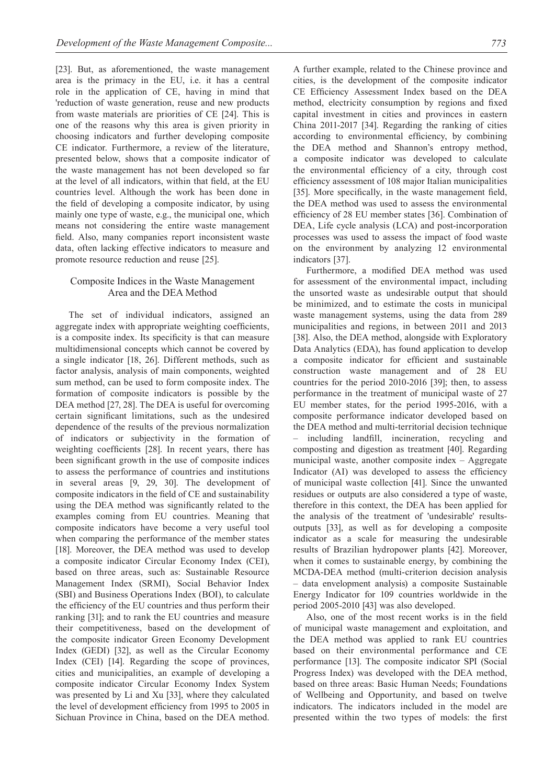[23]. But, as aforementioned, the waste management area is the primacy in the EU, i.e. it has a central role in the application of CE, having in mind that 'reduction of waste generation, reuse and new products from waste materials are priorities of CE [24]. This is one of the reasons why this area is given priority in choosing indicators and further developing composite CE indicator. Furthermore, a review of the literature, presented below, shows that a composite indicator of the waste management has not been developed so far at the level of all indicators, within that field, at the EU countries level. Although the work has been done in the field of developing a composite indicator, by using mainly one type of waste, e.g., the municipal one, which means not considering the entire waste management field. Also, many companies report inconsistent waste data, often lacking effective indicators to measure and promote resource reduction and reuse [25].

# Composite Indices in the Waste Management Area and the DEA Method

The set of individual indicators, assigned an aggregate index with appropriate weighting coefficients, is a composite index. Its specificity is that can measure multidimensional concepts which cannot be covered by a single indicator [18, 26]. Different methods, such as factor analysis, analysis of main components, weighted sum method, can be used to form composite index. The formation of composite indicators is possible by the DEA method [27, 28]. The DEA is useful for overcoming certain significant limitations, such as the undesired dependence of the results of the previous normalization of indicators or subjectivity in the formation of weighting coefficients [28]. In recent years, there has been significant growth in the use of composite indices to assess the performance of countries and institutions in several areas [9, 29, 30]. The development of composite indicators in the field of CE and sustainability using the DEA method was significantly related to the examples coming from EU countries. Meaning that composite indicators have become a very useful tool when comparing the performance of the member states [18]. Moreover, the DEA method was used to develop a composite indicator Circular Economy Index (CEI), based on three areas, such as: Sustainable Resource Management Index (SRMI), Social Behavior Index (SBI) and Business Operations Index (BOI), to calculate the efficiency of the EU countries and thus perform their ranking [31]; and to rank the EU countries and measure their competitiveness, based on the development of the composite indicator Green Economy Development Index (GEDI) [32], as well as the Circular Economy Index (CEI) [14]. Regarding the scope of provinces, cities and municipalities, an example of developing a composite indicator Circular Economy Index System was presented by Li and Xu [33], where they calculated the level of development efficiency from 1995 to 2005 in Sichuan Province in China, based on the DEA method.

A further example, related to the Chinese province and cities, is the development of the composite indicator CE Efficiency Assessment Index based on the DEA method, electricity consumption by regions and fixed capital investment in cities and provinces in eastern China 2011-2017 [34]. Regarding the ranking of cities according to environmental efficiency, by combining the DEA method and Shannon's entropy method, a composite indicator was developed to calculate the environmental efficiency of a city, through cost efficiency assessment of 108 major Italian municipalities [35]. More specifically, in the waste management field, the DEA method was used to assess the environmental efficiency of 28 EU member states [36]. Combination of DEA, Life cycle analysis (LCA) and post-incorporation processes was used to assess the impact of food waste on the environment by analyzing 12 environmental indicators [37].

Furthermore, a modified DEA method was used for assessment of the environmental impact, including the unsorted waste as undesirable output that should be minimized, and to estimate the costs in municipal waste management systems, using the data from 289 municipalities and regions, in between 2011 and 2013 [38]. Also, the DEA method, alongside with Exploratory Data Analytics (EDA), has found application to develop a composite indicator for efficient and sustainable construction waste management and of 28 EU countries for the period 2010-2016 [39]; then, to assess performance in the treatment of municipal waste of 27 EU member states, for the period 1995-2016, with a composite performance indicator developed based on the DEA method and multi-territorial decision technique – including landfill, incineration, recycling and composting and digestion as treatment [40]. Regarding municipal waste, another composite index – Aggregate Indicator (AI) was developed to assess the efficiency of municipal waste collection [41]. Since the unwanted residues or outputs are also considered a type of waste, therefore in this context, the DEA has been applied for the analysis of the treatment of 'undesirable' resultsoutputs [33], as well as for developing a composite indicator as a scale for measuring the undesirable results of Brazilian hydropower plants [42]. Moreover, when it comes to sustainable energy, by combining the MCDA-DEA method (multi-criterion decision analysis – data envelopment analysis) a composite Sustainable Energy Indicator for 109 countries worldwide in the period 2005-2010 [43] was also developed.

Also, one of the most recent works is in the field of municipal waste management and exploitation, and the DEA method was applied to rank EU countries based on their environmental performance and CE performance [13]. The composite indicator SPI (Social Progress Index) was developed with the DEA method, based on three areas: Basic Human Needs; Foundations of Wellbeing and Opportunity, and based on twelve indicators. The indicators included in the model are presented within the two types of models: the first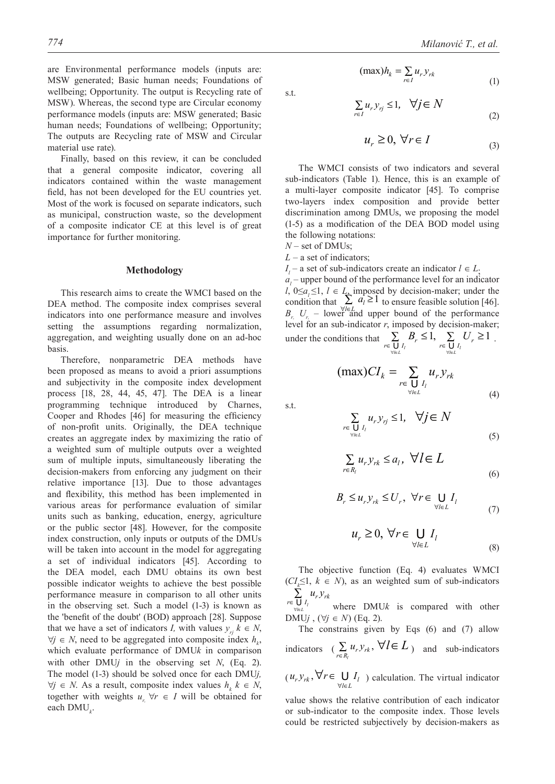(1)

are Environmental performance models (inputs are: MSW generated; Basic human needs; Foundations of wellbeing; Opportunity. The output is Recycling rate of MSW). Whereas, the second type are Circular economy performance models (inputs are: MSW generated; Basic human needs; Foundations of wellbeing; Opportunity; The outputs are Recycling rate of MSW and Circular material use rate).

Finally, based on this review, it can be concluded that a general composite indicator, covering all indicators contained within the waste management field, has not been developed for the EU countries yet. Most of the work is focused on separate indicators, such as municipal, construction waste, so the development of a composite indicator CE at this level is of great importance for further monitoring.

#### **Methodology**

This research aims to create the WMCI based on the DEA method. The composite index comprises several indicators into one performance measure and involves setting the assumptions regarding normalization, aggregation, and weighting usually done on an ad-hoc basis.

Therefore, nonparametric DEA methods have been proposed as means to avoid a priori assumptions and subjectivity in the composite index development process [18, 28, 44, 45, 47]. The DEA is a linear programming technique introduced by Charnes, Cooper and Rhodes [46] for measuring the efficiency of non-profit units. Originally, the DEA technique creates an aggregate index by maximizing the ratio of a weighted sum of multiple outputs over a weighted sum of multiple inputs, simultaneously liberating the decision-makers from enforcing any judgment on their relative importance [13]. Due to those advantages and flexibility, this method has been implemented in various areas for performance evaluation of similar units such as banking, education, energy, agriculture or the public sector [48]. However, for the composite index construction, only inputs or outputs of the DMUs will be taken into account in the model for aggregating a set of individual indicators [45]. According to the DEA model, each DMU obtains its own best possible indicator weights to achieve the best possible performance measure in comparison to all other units in the observing set. Such a model (1-3) is known as the 'benefit of the doubt' (BOD) approach [28]. Suppose that we have a set of indicators *I*, with values  $y_{ri}$   $k \in N$ ,  $∀*j* ∈ *N*, need to be aggregated into composite index  $h<sub>k</sub>$ ,$ which evaluate performance of DMU*k* in comparison with other DMU $j$  in the observing set  $N$ , (Eq. 2). The model (1-3) should be solved once for each DMU*j,*   $\forall j \in N$ . As a result, composite index values  $h_k$   $k \in N$ , together with weights  $u_r \forall r \in I$  will be obtained for each DMU*<sup>k</sup>* .

s.t.

$$
\sum_{r \in I} u_r y_{rj} \le 1, \quad \forall j \in N
$$
\n(2)

$$
u_r \ge 0, \,\forall r \in I \tag{3}
$$

The WMCI consists of two indicators and several sub-indicators (Table 1). Hence, this is an example of a multi-layer composite indicator [45]. To comprise two-layers index composition and provide better discrimination among DMUs, we proposing the model (1-5) as a modification of the DEA BOD model using the following notations:

 $(\max) h_k = \sum_{r \in I} u_r y_{rk}$ 

*N –* set of DMUs;

*L* – a set of indicators;

*I*<sub>*l*</sub> – a set of sub-indicators create an indicator  $l \in L$ ;  $a_l$  – upper bound of the performance level for an indicator *l*, 0≤*a*<sub>*i*</sub> ≤1, *l* ∈ *L*, imposed by decision-maker; under the condition that  $\sum_{l \in L_i} a_l \geq 1$ *a*  $\sum_{\forall l \in L_1} a_l \ge 1$  to ensure feasible solution [46].  $B_{r_i}$ ,  $U_{r_i}$  – lower and upper bound of the performance level for an sub-indicator *r*, imposed by decision-maker; under the conditions that  $\sum_{\substack{r \in \bigcup I_i \\ \forall l \in L}} B_r \le 1, \sum_{\substack{r \in \bigcup I_i \\ \forall l \in L}} U_r \ge 1$  $\sum_{\mathcal{F} \in \bigcup_{V_i \in L} I_i} B_r \leq 1, \sum_{\mathcal{F} \in \bigcup_{V_i \in L} I_i} U_r \geq 1$ .

*l L*

∀ ∈

$$
(\max)CI_k = \sum_{r \in \bigcup_{\forall l \in L} I_l} u_r y_{rk}
$$
\n(4)

s.t.

$$
\sum_{\substack{r \in \bigcup_{l} I_l}} u_r y_{rj} \le 1, \quad \forall j \in N
$$
\n
$$
(5)
$$

$$
\sum_{r \in R_l} u_r y_{rk} \le a_l, \ \forall l \in L
$$
 (6)

$$
B_r \le u_r y_{rk} \le U_r, \ \forall r \in \bigcup_{\forall l \in L} I_l
$$
 (7)

$$
u_r \ge 0, \,\forall r \in \bigcup_{\forall l \in L} I_l
$$
\n<sup>(8)</sup>

The objective function (Eq. 4) evaluates WMCI  $(CI<sub>k</sub>≤1, k ∈ N)$ , as an weighted sum of sub-indicators  $r \in \bigcup_{I_i} u_r y_{rk}$  $u<sub>r</sub>$  $y$ ∑<br>⊽ ⊜<br>⊬

**∪** *l*<sub>i</sub><br>′/∈*L* where  $DMUk$  is compared with other DMU<sub>j</sub>,  $(\forall j \in N)$  (Eq. 2).

The constrains given by Eqs  $(6)$  and  $(7)$  allow indicators  $\left( \sum_{r \in R_l} u_r y_{rk}, \forall l \in L \right)$  and sub-indicators

 $(u_r, y_{rk}, \forall r \in \bigcup_{\forall l \in L} I_l$  $u_r y_{rk}, \forall r \in \bigcup I$  $\forall r \in \bigcup_{\forall l \in L} I_l$ ) calculation. The virtual indicator

value shows the relative contribution of each indicator or sub-indicator to the composite index. Those levels could be restricted subjectively by decision-makers as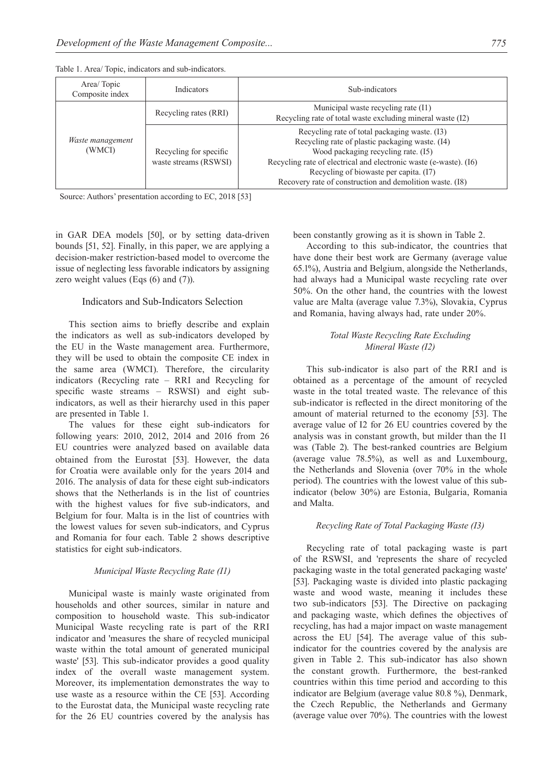Table 1. Area/ Topic, indicators and sub-indicators.

| Area/Topic<br>Composite index | <i>Indicators</i>                               | Sub-indicators                                                                                                                                                                                                                                                                                                     |  |  |  |
|-------------------------------|-------------------------------------------------|--------------------------------------------------------------------------------------------------------------------------------------------------------------------------------------------------------------------------------------------------------------------------------------------------------------------|--|--|--|
| Waste management<br>(WMCI)    | Recycling rates (RRI)                           | Municipal waste recycling rate (I1)<br>Recycling rate of total waste excluding mineral waste (I2)                                                                                                                                                                                                                  |  |  |  |
|                               | Recycling for specific<br>waste streams (RSWSI) | Recycling rate of total packaging waste. (I3)<br>Recycling rate of plastic packaging waste. (I4)<br>Wood packaging recycling rate. (I5)<br>Recycling rate of electrical and electronic waste (e-waste). (I6)<br>Recycling of biowaste per capita. (I7)<br>Recovery rate of construction and demolition waste. (I8) |  |  |  |

Source: Authors' presentation according to EC, 2018 [53]

in GAR DEA models [50], or by setting data-driven bounds [51, 52]. Finally, in this paper, we are applying a decision-maker restriction-based model to overcome the issue of neglecting less favorable indicators by assigning zero weight values (Eqs  $(6)$  and  $(7)$ ).

# Indicators and Sub-Indicators Selection

This section aims to briefly describe and explain the indicators as well as sub-indicators developed by the EU in the Waste management area. Furthermore, they will be used to obtain the composite CE index in the same area (WMCI). Therefore, the circularity indicators (Recycling rate – RRI and Recycling for specific waste streams – RSWSI) and eight subindicators, as well as their hierarchy used in this paper are presented in Table 1.

The values for these eight sub-indicators for following years: 2010, 2012, 2014 and 2016 from 26 EU countries were analyzed based on available data obtained from the Eurostat [53]. However, the data for Croatia were available only for the years 2014 and 2016. The analysis of data for these eight sub-indicators shows that the Netherlands is in the list of countries with the highest values for five sub-indicators, and Belgium for four. Malta is in the list of countries with the lowest values for seven sub-indicators, and Cyprus and Romania for four each. Table 2 shows descriptive statistics for eight sub-indicators.

#### *Municipal Waste Recycling Rate (I1)*

Municipal waste is mainly waste originated from households and other sources, similar in nature and composition to household waste. This sub-indicator Municipal Waste recycling rate is part of the RRI indicator and 'measures the share of recycled municipal waste within the total amount of generated municipal waste' [53]. This sub-indicator provides a good quality index of the overall waste management system. Moreover, its implementation demonstrates the way to use waste as a resource within the CE [53]. According to the Eurostat data, the Municipal waste recycling rate for the 26 EU countries covered by the analysis has been constantly growing as it is shown in Table 2.

According to this sub-indicator, the countries that have done their best work are Germany (average value 65.1%), Austria and Belgium, alongside the Netherlands, had always had a Municipal waste recycling rate over 50%. On the other hand, the countries with the lowest value are Malta (average value 7.3%), Slovakia, Cyprus and Romania, having always had, rate under 20%.

# *Total Waste Recycling Rate Excluding Mineral Waste (I2)*

This sub-indicator is also part of the RRI and is obtained as a percentage of the amount of recycled waste in the total treated waste. The relevance of this sub-indicator is reflected in the direct monitoring of the amount of material returned to the economy [53]. The average value of I2 for 26 EU countries covered by the analysis was in constant growth, but milder than the I1 was (Table 2). The best-ranked countries are Belgium (average value 78.5%), as well as and Luxembourg, the Netherlands and Slovenia (over 70% in the whole period). The countries with the lowest value of this subindicator (below 30%) are Estonia, Bulgaria, Romania and Malta.

## *Recycling Rate of Total Packaging Waste (I3)*

Recycling rate of total packaging waste is part of the RSWSI, and 'represents the share of recycled packaging waste in the total generated packaging waste' [53]. Packaging waste is divided into plastic packaging waste and wood waste, meaning it includes these two sub-indicators [53]. The Directive on packaging and packaging waste, which defines the objectives of recycling, has had a major impact on waste management across the EU [54]. The average value of this subindicator for the countries covered by the analysis are given in Table 2. This sub-indicator has also shown the constant growth. Furthermore, the best-ranked countries within this time period and according to this indicator are Belgium (average value 80.8 %), Denmark, the Czech Republic, the Netherlands and Germany (average value over 70%). The countries with the lowest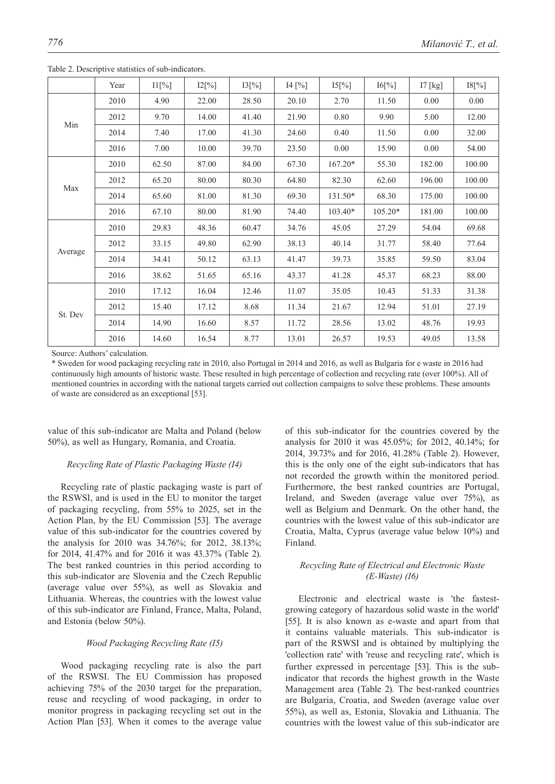|         | Year | $11\frac{9}{6}$ | $12\lceil\% \rceil$ | 13[%] | 14 [%] | $15[\%]$  | 16[%]     | $17$ [kg] | 18[%]  |
|---------|------|-----------------|---------------------|-------|--------|-----------|-----------|-----------|--------|
| Min     | 2010 | 4.90            | 22.00               | 28.50 | 20.10  | 2.70      | 11.50     | 0.00      | 0.00   |
|         | 2012 | 9.70            | 14.00               | 41.40 | 21.90  | 0.80      | 9.90      | 5.00      | 12.00  |
|         | 2014 | 7.40            | 17.00               | 41.30 | 24.60  | 0.40      | 11.50     | 0.00      | 32.00  |
|         | 2016 | 7.00            | 10.00               | 39.70 | 23.50  | 0.00      | 15.90     | 0.00      | 54.00  |
| Max     | 2010 | 62.50           | 87.00               | 84.00 | 67.30  | $167.20*$ | 55.30     | 182.00    | 100.00 |
|         | 2012 | 65.20           | 80.00               | 80.30 | 64.80  | 82.30     | 62.60     | 196.00    | 100.00 |
|         | 2014 | 65.60           | 81.00               | 81.30 | 69.30  | 131.50*   | 68.30     | 175.00    | 100.00 |
|         | 2016 | 67.10           | 80.00               | 81.90 | 74.40  | 103.40*   | $105.20*$ | 181.00    | 100.00 |
| Average | 2010 | 29.83           | 48.36               | 60.47 | 34.76  | 45.05     | 27.29     | 54.04     | 69.68  |
|         | 2012 | 33.15           | 49.80               | 62.90 | 38.13  | 40.14     | 31.77     | 58.40     | 77.64  |
|         | 2014 | 34.41           | 50.12               | 63.13 | 41.47  | 39.73     | 35.85     | 59.50     | 83.04  |
|         | 2016 | 38.62           | 51.65               | 65.16 | 43.37  | 41.28     | 45.37     | 68.23     | 88.00  |
| St. Dev | 2010 | 17.12           | 16.04               | 12.46 | 11.07  | 35.05     | 10.43     | 51.33     | 31.38  |
|         | 2012 | 15.40           | 17.12               | 8.68  | 11.34  | 21.67     | 12.94     | 51.01     | 27.19  |
|         | 2014 | 14.90           | 16.60               | 8.57  | 11.72  | 28.56     | 13.02     | 48.76     | 19.93  |
|         | 2016 | 14.60           | 16.54               | 8.77  | 13.01  | 26.57     | 19.53     | 49.05     | 13.58  |

Table 2. Descriptive statistics of sub-indicators.

Source: Authors' calculation.

\* Sweden for wood packaging recycling rate in 2010, also Portugal in 2014 and 2016, as well as Bulgaria for e waste in 2016 had continuously high amounts of historic waste. These resulted in high percentage of collection and recycling rate (over 100%). All of mentioned countries in according with the national targets carried out collection campaigns to solve these problems. These amounts of waste are considered as an exceptional [53].

value of this sub-indicator are Malta and Poland (below 50%), as well as Hungary, Romania, and Croatia.

## *Recycling Rate of Plastic Packaging Waste (I4)*

Recycling rate of plastic packaging waste is part of the RSWSI, and is used in the EU to monitor the target of packaging recycling, from 55% to 2025, set in the Action Plan, by the EU Commission [53]. The average value of this sub-indicator for the countries covered by the analysis for 2010 was 34.76%; for 2012, 38.13%; for 2014, 41.47% and for 2016 it was 43.37% (Table 2). The best ranked countries in this period according to this sub-indicator are Slovenia and the Czech Republic (average value over 55%), as well as Slovakia and Lithuania. Whereas, the countries with the lowest value of this sub-indicator are Finland, France, Malta, Poland, and Estonia (below 50%).

#### *Wood Packaging Recycling Rate (I5)*

Wood packaging recycling rate is also the part of the RSWSI. The EU Commission has proposed achieving 75% of the 2030 target for the preparation, reuse and recycling of wood packaging, in order to monitor progress in packaging recycling set out in the Action Plan [53]. When it comes to the average value of this sub-indicator for the countries covered by the analysis for 2010 it was 45.05%; for 2012, 40.14%; for 2014, 39.73% and for 2016, 41.28% (Table 2). However, this is the only one of the eight sub-indicators that has not recorded the growth within the monitored period. Furthermore, the best ranked countries are Portugal, Ireland, and Sweden (average value over 75%), as well as Belgium and Denmark. On the other hand, the countries with the lowest value of this sub-indicator are Croatia, Malta, Cyprus (average value below 10%) and Finland.

# *Recycling Rate of Electrical and Electronic Waste (E-Waste) (I6)*

Electronic and electrical waste is 'the fastestgrowing category of hazardous solid waste in the world' [55]. It is also known as e-waste and apart from that it contains valuable materials. This sub-indicator is part of the RSWSI and is obtained by multiplying the 'collection rate' with 'reuse and recycling rate', which is further expressed in percentage [53]. This is the subindicator that records the highest growth in the Waste Management area (Table 2). The best-ranked countries are Bulgaria, Croatia, and Sweden (average value over 55%), as well as, Estonia, Slovakia and Lithuania. The countries with the lowest value of this sub-indicator are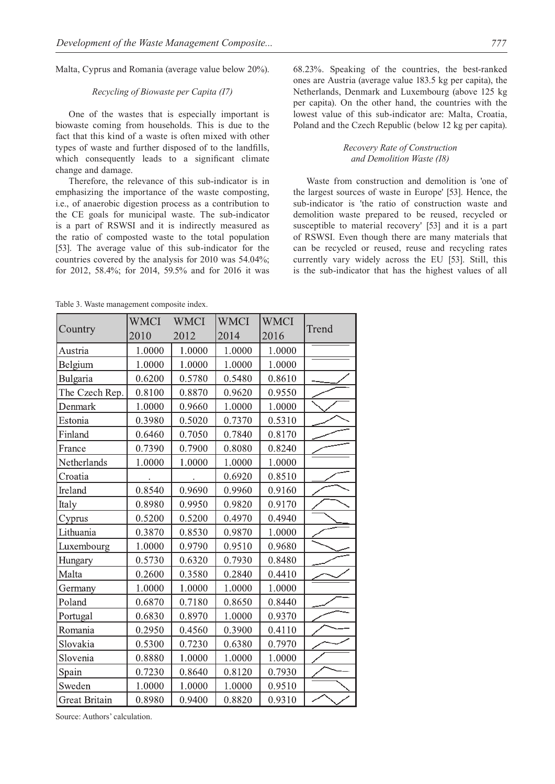Malta, Cyprus and Romania (average value below 20%).

## *Recycling of Biowaste per Capita (I7)*

One of the wastes that is especially important is biowaste coming from households. This is due to the fact that this kind of a waste is often mixed with other types of waste and further disposed of to the landfills, which consequently leads to a significant climate change and damage.

Therefore, the relevance of this sub-indicator is in emphasizing the importance of the waste composting, i.e., of anaerobic digestion process as a contribution to the CE goals for municipal waste. The sub-indicator is a part of RSWSI and it is indirectly measured as the ratio of composted waste to the total population [53]. The average value of this sub-indicator for the countries covered by the analysis for 2010 was 54.04%; for 2012, 58.4%; for 2014, 59.5% and for 2016 it was 68.23%. Speaking of the countries, the best-ranked ones are Austria (average value 183.5 kg per capita), the Netherlands, Denmark and Luxembourg (above 125 kg per capita). On the other hand, the countries with the lowest value of this sub-indicator are: Malta, Croatia, Poland and the Czech Republic (below 12 kg per capita).

# *Recovery Rate of Construction and Demolition Waste (I8)*

Waste from construction and demolition is 'one of the largest sources of waste in Europe' [53]. Hence, the sub-indicator is 'the ratio of construction waste and demolition waste prepared to be reused, recycled or susceptible to material recovery' [53] and it is a part of RSWSI. Even though there are many materials that can be recycled or reused, reuse and recycling rates currently vary widely across the EU [53]. Still, this is the sub-indicator that has the highest values of all

Table 3. Waste management composite index.

|                      | <b>WMCI</b> | <b>WMCI</b> | <b>WMCI</b> | <b>WMCI</b> |       |  |
|----------------------|-------------|-------------|-------------|-------------|-------|--|
| Country              | 2010        | 2012        | 2014        | 2016        | Trend |  |
| Austria              | 1.0000      | 1.0000      | 1.0000      | 1.0000      |       |  |
| Belgium              | 1.0000      | 1.0000      | 1.0000      | 1.0000      |       |  |
| Bulgaria             | 0.6200      | 0.5780      | 0.5480      | 0.8610      |       |  |
| The Czech Rep.       | 0.8100      | 0.8870      | 0.9620      | 0.9550      |       |  |
| Denmark              | 1.0000      | 0.9660      | 1.0000      | 1.0000      |       |  |
| Estonia              | 0.3980      | 0.5020      | 0.7370      | 0.5310      |       |  |
| Finland              | 0.6460      | 0.7050      | 0.7840      | 0.8170      |       |  |
| France               | 0.7390      | 0.7900      | 0.8080      | 0.8240      |       |  |
| Netherlands          | 1.0000      | 1.0000      | 1.0000      | 1.0000      |       |  |
| Croatia              |             |             | 0.6920      | 0.8510      |       |  |
| Ireland              | 0.8540      | 0.9690      | 0.9960      | 0.9160      |       |  |
| Italy                | 0.8980      | 0.9950      | 0.9820      | 0.9170      |       |  |
| Cyprus               | 0.5200      | 0.5200      | 0.4970      | 0.4940      |       |  |
| Lithuania            | 0.3870      | 0.8530      | 0.9870      | 1.0000      |       |  |
| Luxembourg           | 1.0000      | 0.9790      | 0.9510      | 0.9680      |       |  |
| Hungary              | 0.5730      | 0.6320      | 0.7930      | 0.8480      |       |  |
| Malta                | 0.2600      | 0.3580      | 0.2840      | 0.4410      |       |  |
| Germany              | 1.0000      | 1.0000      | 1.0000      | 1.0000      |       |  |
| Poland               | 0.6870      | 0.7180      | 0.8650      | 0.8440      |       |  |
| Portugal             | 0.6830      | 0.8970      | 1.0000      | 0.9370      |       |  |
| Romania              | 0.2950      | 0.4560      | 0.3900      | 0.4110      |       |  |
| Slovakia             | 0.5300      | 0.7230      | 0.6380      | 0.7970      |       |  |
| Slovenia             | 0.8880      | 1.0000      | 1.0000      | 1.0000      |       |  |
| Spain                | 0.7230      | 0.8640      | 0.8120      | 0.7930      |       |  |
| Sweden               | 1.0000      | 1.0000      | 1.0000      | 0.9510      |       |  |
| <b>Great Britain</b> | 0.8980      | 0.9400      | 0.8820      | 0.9310      |       |  |

Source: Authors' calculation.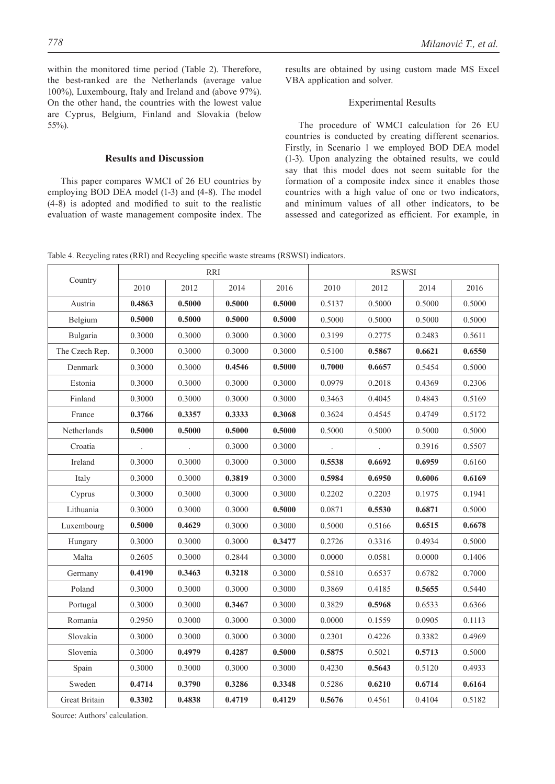within the monitored time period (Table 2). Therefore, the best-ranked are the Netherlands (average value 100%), Luxembourg, Italy and Ireland and (above 97%). On the other hand, the countries with the lowest value are Cyprus, Belgium, Finland and Slovakia (below 55%).

# **Results and Discussion**

This paper compares WMCI of 26 EU countries by employing BOD DEA model (1-3) and (4-8). The model (4-8) is adopted and modified to suit to the realistic evaluation of waste management composite index. The results are obtained by using custom made MS Excel VBA application and solver.

## Experimental Results

The procedure of WMCI calculation for 26 EU countries is conducted by creating different scenarios. Firstly, in Scenario 1 we employed BOD DEA model (1-3). Upon analyzing the obtained results, we could say that this model does not seem suitable for the formation of a composite index since it enables those countries with a high value of one or two indicators, and minimum values of all other indicators, to be assessed and categorized as efficient. For example, in

Table 4. Recycling rates (RRI) and Recycling specific waste streams (RSWSI) indicators.

|                | RRI    |        |        |        | <b>RSWSI</b> |        |        |        |
|----------------|--------|--------|--------|--------|--------------|--------|--------|--------|
| Country        | 2010   | 2012   | 2014   | 2016   | 2010         | 2012   | 2014   | 2016   |
| Austria        | 0.4863 | 0.5000 | 0.5000 | 0.5000 | 0.5137       | 0.5000 | 0.5000 | 0.5000 |
| Belgium        | 0.5000 | 0.5000 | 0.5000 | 0.5000 | 0.5000       | 0.5000 | 0.5000 | 0.5000 |
| Bulgaria       | 0.3000 | 0.3000 | 0.3000 | 0.3000 | 0.3199       | 0.2775 | 0.2483 | 0.5611 |
| The Czech Rep. | 0.3000 | 0.3000 | 0.3000 | 0.3000 | 0.5100       | 0.5867 | 0.6621 | 0.6550 |
| Denmark        | 0.3000 | 0.3000 | 0.4546 | 0.5000 | 0.7000       | 0.6657 | 0.5454 | 0.5000 |
| Estonia        | 0.3000 | 0.3000 | 0.3000 | 0.3000 | 0.0979       | 0.2018 | 0.4369 | 0.2306 |
| Finland        | 0.3000 | 0.3000 | 0.3000 | 0.3000 | 0.3463       | 0.4045 | 0.4843 | 0.5169 |
| France         | 0.3766 | 0.3357 | 0.3333 | 0.3068 | 0.3624       | 0.4545 | 0.4749 | 0.5172 |
| Netherlands    | 0.5000 | 0.5000 | 0.5000 | 0.5000 | 0.5000       | 0.5000 | 0.5000 | 0.5000 |
| Croatia        |        |        | 0.3000 | 0.3000 |              |        | 0.3916 | 0.5507 |
| Ireland        | 0.3000 | 0.3000 | 0.3000 | 0.3000 | 0.5538       | 0.6692 | 0.6959 | 0.6160 |
| Italy          | 0.3000 | 0.3000 | 0.3819 | 0.3000 | 0.5984       | 0.6950 | 0.6006 | 0.6169 |
| Cyprus         | 0.3000 | 0.3000 | 0.3000 | 0.3000 | 0.2202       | 0.2203 | 0.1975 | 0.1941 |
| Lithuania      | 0.3000 | 0.3000 | 0.3000 | 0.5000 | 0.0871       | 0.5530 | 0.6871 | 0.5000 |
| Luxembourg     | 0.5000 | 0.4629 | 0.3000 | 0.3000 | 0.5000       | 0.5166 | 0.6515 | 0.6678 |
| Hungary        | 0.3000 | 0.3000 | 0.3000 | 0.3477 | 0.2726       | 0.3316 | 0.4934 | 0.5000 |
| Malta          | 0.2605 | 0.3000 | 0.2844 | 0.3000 | 0.0000       | 0.0581 | 0.0000 | 0.1406 |
| Germany        | 0.4190 | 0.3463 | 0.3218 | 0.3000 | 0.5810       | 0.6537 | 0.6782 | 0.7000 |
| Poland         | 0.3000 | 0.3000 | 0.3000 | 0.3000 | 0.3869       | 0.4185 | 0.5655 | 0.5440 |
| Portugal       | 0.3000 | 0.3000 | 0.3467 | 0.3000 | 0.3829       | 0.5968 | 0.6533 | 0.6366 |
| Romania        | 0.2950 | 0.3000 | 0.3000 | 0.3000 | 0.0000       | 0.1559 | 0.0905 | 0.1113 |
| Slovakia       | 0.3000 | 0.3000 | 0.3000 | 0.3000 | 0.2301       | 0.4226 | 0.3382 | 0.4969 |
| Slovenia       | 0.3000 | 0.4979 | 0.4287 | 0.5000 | 0.5875       | 0.5021 | 0.5713 | 0.5000 |
| Spain          | 0.3000 | 0.3000 | 0.3000 | 0.3000 | 0.4230       | 0.5643 | 0.5120 | 0.4933 |
| Sweden         | 0.4714 | 0.3790 | 0.3286 | 0.3348 | 0.5286       | 0.6210 | 0.6714 | 0.6164 |
| Great Britain  | 0.3302 | 0.4838 | 0.4719 | 0.4129 | 0.5676       | 0.4561 | 0.4104 | 0.5182 |

Source: Authors' calculation.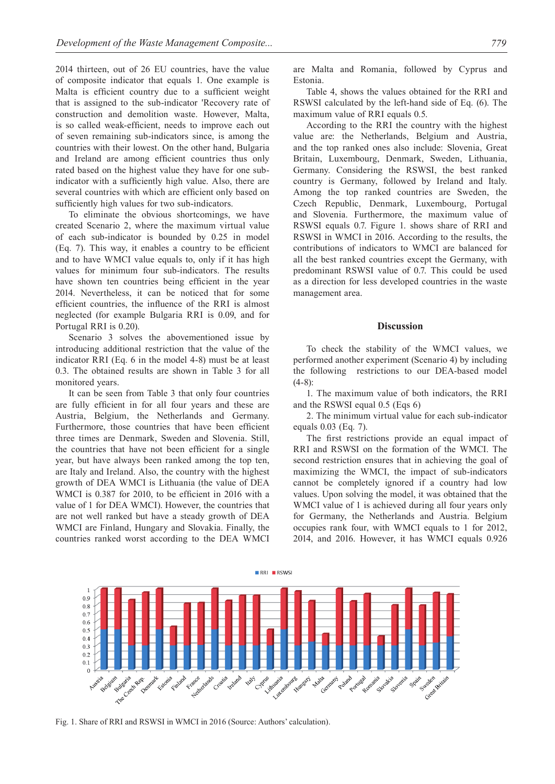2014 thirteen, out of 26 EU countries, have the value of composite indicator that equals 1. One example is Malta is efficient country due to a sufficient weight that is assigned to the sub-indicator 'Recovery rate of construction and demolition waste. However, Malta, is so called weak-efficient, needs to improve each out of seven remaining sub-indicators since, is among the countries with their lowest. On the other hand, Bulgaria and Ireland are among efficient countries thus only rated based on the highest value they have for one subindicator with a sufficiently high value. Also, there are several countries with which are efficient only based on sufficiently high values for two sub-indicators.

To eliminate the obvious shortcomings, we have created Scenario 2, where the maximum virtual value of each sub-indicator is bounded by 0.25 in model (Eq. 7). This way, it enables a country to be efficient and to have WMCI value equals to, only if it has high values for minimum four sub-indicators. The results have shown ten countries being efficient in the year 2014. Nevertheless, it can be noticed that for some efficient countries, the influence of the RRI is almost neglected (for example Bulgaria RRI is 0.09, and for Portugal RRI is 0.20).

Scenario 3 solves the abovementioned issue by introducing additional restriction that the value of the indicator RRI (Eq. 6 in the model 4-8) must be at least 0.3. The obtained results are shown in Table 3 for all monitored years.

It can be seen from Table 3 that only four countries are fully efficient in for all four years and these are Austria, Belgium, the Netherlands and Germany. Furthermore, those countries that have been efficient three times are Denmark, Sweden and Slovenia. Still, the countries that have not been efficient for a single year, but have always been ranked among the top ten, are Italy and Ireland. Also, the country with the highest growth of DEA WMCI is Lithuania (the value of DEA WMCI is 0.387 for 2010, to be efficient in 2016 with a value of 1 for DEA WMCI). However, the countries that are not well ranked but have a steady growth of DEA WMCI are Finland, Hungary and Slovakia. Finally, the countries ranked worst according to the DEA WMCI are Malta and Romania, followed by Cyprus and Estonia.

Table 4, shows the values obtained for the RRI and RSWSI calculated by the left-hand side of Eq.  $(6)$ . The maximum value of RRI equals 0.5.

According to the RRI the country with the highest value are: the Netherlands, Belgium and Austria, and the top ranked ones also include: Slovenia, Great Britain, Luxembourg, Denmark, Sweden, Lithuania, Germany. Considering the RSWSI, the best ranked country is Germany, followed by Ireland and Italy. Among the top ranked countries are Sweden, the Czech Republic, Denmark, Luxembourg, Portugal and Slovenia. Furthermore, the maximum value of RSWSI equals 0.7. Figure 1. shows share of RRI and RSWSI in WMCI in 2016. According to the results, the contributions of indicators to WMCI are balanced for all the best ranked countries except the Germany, with predominant RSWSI value of 0.7. This could be used as a direction for less developed countries in the waste management area.

#### **Discussion**

To check the stability of the WMCI values, we performed another experiment (Scenario 4) by including the following restrictions to our DEA-based model  $(4-8)$ :

1. The maximum value of both indicators, the RRI and the RSWSI equal  $0.5$  (Eqs  $6$ )

2. The minimum virtual value for each sub-indicator equals 0.03 (Eq. 7).

The first restrictions provide an equal impact of RRI and RSWSI on the formation of the WMCI. The second restriction ensures that in achieving the goal of maximizing the WMCI, the impact of sub-indicators cannot be completely ignored if a country had low values. Upon solving the model, it was obtained that the WMCI value of 1 is achieved during all four years only for Germany, the Netherlands and Austria. Belgium occupies rank four, with WMCI equals to 1 for 2012, 2014, and 2016. However, it has WMCI equals 0.926



Fig. 1. Share of RRI and RSWSI in WMCI in 2016 (Source: Authors' calculation).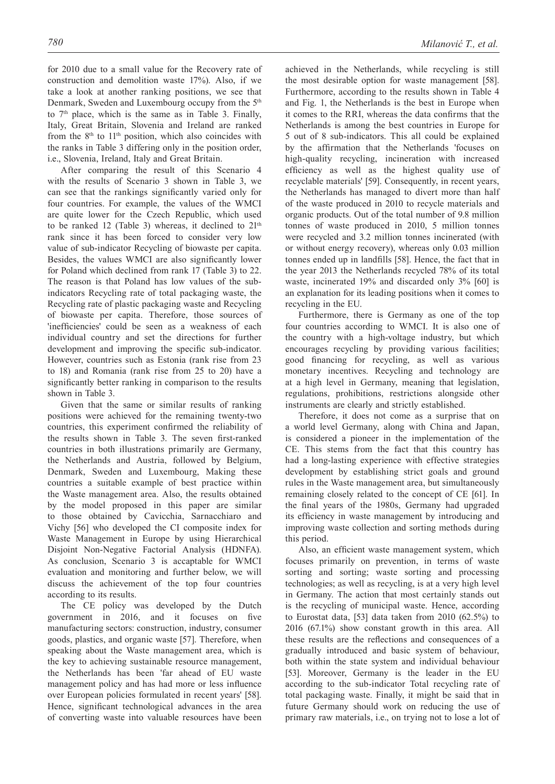for 2010 due to a small value for the Recovery rate of construction and demolition waste 17%). Also, if we take a look at another ranking positions, we see that Denmark, Sweden and Luxembourg occupy from the 5<sup>th</sup> to  $7<sup>th</sup>$  place, which is the same as in Table 3. Finally, Italy, Great Britain, Slovenia and Ireland are ranked from the 8<sup>th</sup> to 11<sup>th</sup> position, which also coincides with the ranks in Table 3 differing only in the position order, i.e., Slovenia, Ireland, Italy and Great Britain.

After comparing the result of this Scenario 4 with the results of Scenario 3 shown in Table 3, we can see that the rankings significantly varied only for four countries. For example, the values of the WMCI are quite lower for the Czech Republic, which used to be ranked 12 (Table 3) whereas, it declined to  $21<sup>th</sup>$ rank since it has been forced to consider very low value of sub-indicator Recycling of biowaste per capita. Besides, the values WMCI are also significantly lower for Poland which declined from rank 17 (Table 3) to 22. The reason is that Poland has low values of the subindicators Recycling rate of total packaging waste, the Recycling rate of plastic packaging waste and Recycling of biowaste per capita. Therefore, those sources of 'inefficiencies' could be seen as a weakness of each individual country and set the directions for further development and improving the specific sub-indicator. However, countries such as Estonia (rank rise from 23 to 18) and Romania (rank rise from 25 to 20) have a significantly better ranking in comparison to the results shown in Table 3.

Given that the same or similar results of ranking positions were achieved for the remaining twenty-two countries, this experiment confirmed the reliability of the results shown in Table 3. The seven first-ranked countries in both illustrations primarily are Germany, the Netherlands and Austria, followed by Belgium, Denmark, Sweden and Luxembourg, Making these countries a suitable example of best practice within the Waste management area. Also, the results obtained by the model proposed in this paper are similar to those obtained by Cavicchia, Sarnacchiaro and Vichy [56] who developed the CI composite index for Waste Management in Europe by using Hierarchical Disjoint Non-Negative Factorial Analysis (HDNFA). As conclusion, Scenario 3 is accaptable for WMCI evaluation and monitoring and further below, we will discuss the achievement of the top four countries according to its results.

The CE policy was developed by the Dutch government in 2016, and it focuses on five manufacturing sectors: construction, industry, consumer goods, plastics, and organic waste [57]. Therefore, when speaking about the Waste management area, which is the key to achieving sustainable resource management, the Netherlands has been 'far ahead of EU waste management policy and has had more or less influence over European policies formulated in recent years' [58]. Hence, significant technological advances in the area of converting waste into valuable resources have been

achieved in the Netherlands, while recycling is still the most desirable option for waste management [58]. Furthermore, according to the results shown in Table 4 and Fig. 1, the Netherlands is the best in Europe when it comes to the RRI, whereas the data confirms that the Netherlands is among the best countries in Europe for 5 out of 8 sub-indicators. This all could be explained by the affirmation that the Netherlands 'focuses on high-quality recycling, incineration with increased efficiency as well as the highest quality use of recyclable materials' [59]. Consequently, in recent years, the Netherlands has managed to divert more than half of the waste produced in 2010 to recycle materials and organic products. Out of the total number of 9.8 million tonnes of waste produced in 2010, 5 million tonnes were recycled and 3.2 million tonnes incinerated (with or without energy recovery), whereas only 0.03 million tonnes ended up in landfills [58]. Hence, the fact that in the year 2013 the Netherlands recycled 78% of its total waste, incinerated 19% and discarded only 3% [60] is an explanation for its leading positions when it comes to recycling in the EU.

Furthermore, there is Germany as one of the top four countries according to WMCI. It is also one of the country with a high-voltage industry, but which encourages recycling by providing various facilities; good financing for recycling, as well as various monetary incentives. Recycling and technology are at a high level in Germany, meaning that legislation, regulations, prohibitions, restrictions alongside other instruments are clearly and strictly established.

Therefore, it does not come as a surprise that on a world level Germany, along with China and Japan, is considered a pioneer in the implementation of the CE. This stems from the fact that this country has had a long-lasting experience with effective strategies development by establishing strict goals and ground rules in the Waste management area, but simultaneously remaining closely related to the concept of CE [61]. In the final years of the 1980s, Germany had upgraded its efficiency in waste management by introducing and improving waste collection and sorting methods during this period.

Also, an efficient waste management system, which focuses primarily on prevention, in terms of waste sorting and sorting; waste sorting and processing technologies; as well as recycling, is at a very high level in Germany. The action that most certainly stands out is the recycling of municipal waste. Hence, according to Eurostat data, [53] data taken from 2010 (62.5%) to 2016 (67.1%) show constant growth in this area. All these results are the reflections and consequences of a gradually introduced and basic system of behaviour, both within the state system and individual behaviour [53]. Moreover, Germany is the leader in the EU according to the sub-indicator Total recycling rate of total packaging waste. Finally, it might be said that in future Germany should work on reducing the use of primary raw materials, i.e., on trying not to lose a lot of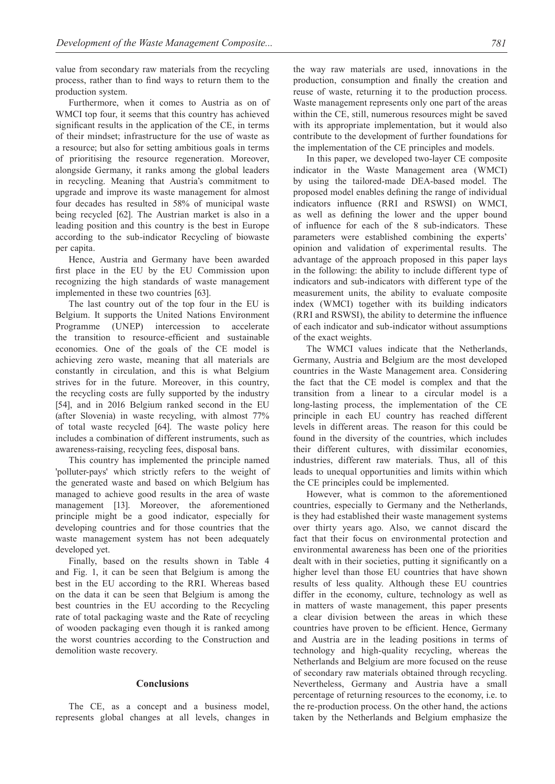value from secondary raw materials from the recycling process, rather than to find ways to return them to the production system.

Furthermore, when it comes to Austria as on of WMCI top four, it seems that this country has achieved significant results in the application of the CE, in terms of their mindset; infrastructure for the use of waste as a resource; but also for setting ambitious goals in terms of prioritising the resource regeneration. Moreover, alongside Germany, it ranks among the global leaders in recycling. Meaning that Austria's commitment to upgrade and improve its waste management for almost four decades has resulted in 58% of municipal waste being recycled [62]. The Austrian market is also in a leading position and this country is the best in Europe according to the sub-indicator Recycling of biowaste per capita.

Hence, Austria and Germany have been awarded first place in the EU by the EU Commission upon recognizing the high standards of waste management implemented in these two countries [63].

The last country out of the top four in the EU is Belgium. It supports the United Nations Environment Programme (UNEP) intercession to accelerate the transition to resource-efficient and sustainable economies. One of the goals of the CE model is achieving zero waste, meaning that all materials are constantly in circulation, and this is what Belgium strives for in the future. Moreover, in this country, the recycling costs are fully supported by the industry [54], and in 2016 Belgium ranked second in the EU (after Slovenia) in waste recycling, with almost 77% of total waste recycled [64]. The waste policy here includes a combination of different instruments, such as awareness-raising, recycling fees, disposal bans.

This country has implemented the principle named 'polluter-pays' which strictly refers to the weight of the generated waste and based on which Belgium has managed to achieve good results in the area of waste management [13]. Moreover, the aforementioned principle might be a good indicator, especially for developing countries and for those countries that the waste management system has not been adequately developed yet.

Finally, based on the results shown in Table 4 and Fig. 1, it can be seen that Belgium is among the best in the EU according to the RRI. Whereas based on the data it can be seen that Belgium is among the best countries in the EU according to the Recycling rate of total packaging waste and the Rate of recycling of wooden packaging even though it is ranked among the worst countries according to the Construction and demolition waste recovery.

## **Conclusions**

The CE, as a concept and a business model, represents global changes at all levels, changes in the way raw materials are used, innovations in the production, consumption and finally the creation and reuse of waste, returning it to the production process. Waste management represents only one part of the areas within the CE, still, numerous resources might be saved with its appropriate implementation, but it would also contribute to the development of further foundations for the implementation of the CE principles and models.

In this paper, we developed two-layer CE composite indicator in the Waste Management area (WMCI) by using the tailored-made DEA-based model. The proposed model enables defining the range of individual indicators influence (RRI and RSWSI) on WMCI, as well as defining the lower and the upper bound of influence for each of the 8 sub-indicators. These parameters were established combining the experts' opinion and validation of experimental results. The advantage of the approach proposed in this paper lays in the following: the ability to include different type of indicators and sub-indicators with different type of the measurement units, the ability to evaluate composite index (WMCI) together with its building indicators (RRI and RSWSI), the ability to determine the influence of each indicator and sub-indicator without assumptions of the exact weights.

The WMCI values indicate that the Netherlands, Germany, Austria and Belgium are the most developed countries in the Waste Management area. Considering the fact that the CE model is complex and that the transition from a linear to a circular model is a long-lasting process, the implementation of the CE principle in each EU country has reached different levels in different areas. The reason for this could be found in the diversity of the countries, which includes their different cultures, with dissimilar economies, industries, different raw materials. Thus, all of this leads to unequal opportunities and limits within which the CE principles could be implemented.

However, what is common to the aforementioned countries, especially to Germany and the Netherlands, is they had established their waste management systems over thirty years ago. Also, we cannot discard the fact that their focus on environmental protection and environmental awareness has been one of the priorities dealt with in their societies, putting it significantly on a higher level than those EU countries that have shown results of less quality. Although these EU countries differ in the economy, culture, technology as well as in matters of waste management, this paper presents a clear division between the areas in which these countries have proven to be efficient. Hence, Germany and Austria are in the leading positions in terms of technology and high-quality recycling, whereas the Netherlands and Belgium are more focused on the reuse of secondary raw materials obtained through recycling. Nevertheless, Germany and Austria have a small percentage of returning resources to the economy, i.e. to the re-production process. On the other hand, the actions taken by the Netherlands and Belgium emphasize the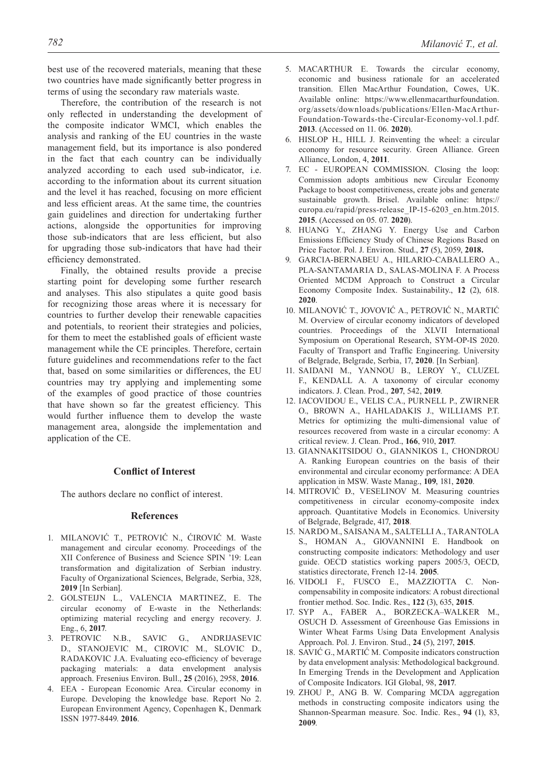best use of the recovered materials, meaning that these two countries have made significantly better progress in terms of using the secondary raw materials waste.

Therefore, the contribution of the research is not only reflected in understanding the development of the composite indicator WMCI, which enables the analysis and ranking of the EU countries in the waste management field, but its importance is also pondered in the fact that each country can be individually analyzed according to each used sub-indicator, i.e. according to the information about its current situation and the level it has reached, focusing on more efficient and less efficient areas. At the same time, the countries gain guidelines and direction for undertaking further actions, alongside the opportunities for improving those sub-indicators that are less efficient, but also for upgrading those sub-indicators that have had their efficiency demonstrated.

Finally, the obtained results provide a precise starting point for developing some further research and analyses. This also stipulates a quite good basis for recognizing those areas where it is necessary for countries to further develop their renewable capacities and potentials, to reorient their strategies and policies, for them to meet the established goals of efficient waste management while the CE principles. Therefore, certain future guidelines and recommendations refer to the fact that, based on some similarities or differences, the EU countries may try applying and implementing some of the examples of good practice of those countries that have shown so far the greatest efficiency. This would further influence them to develop the waste management area, alongside the implementation and application of the CE.

## **Conflict of Interest**

The authors declare no conflict of interest.

# **References**

- 1. MILANOVIĆ T., PETROVIĆ N., ĆIROVIĆ M. Waste management and circular economy. Proceedings of the XII Conference of Business and Science SPIN '19: Lean transformation and digitalization of Serbian industry. Faculty of Organizational Sciences, Belgrade, Serbia, 328, **2019** [In Serbian].
- 2. GOLSTEIJN L., VALENCIA MARTINEZ, E. The circular economy of E-waste in the Netherlands: optimizing material recycling and energy recovery. J. Eng., 6, **2017**.
- 3. PETROVIC N.B., SAVIC G., ANDRIJASEVIC D., STANOJEVIC M., CIROVIC M., SLOVIC D., RADAKOVIC J.A. Evaluating eco-efficiency of beverage packaging materials: a data envelopment analysis approach. Fresenius Environ. Bull., **25** (2016), 2958, **2016**.
- 4. EEA European Economic Area. Circular economy in Europe. Developing the knowledge base. Report No 2. European Environment Agency, Copenhagen K, Denmark ISSN 1977-8449. **2016**.
- 5. MacArthur E. Towards the circular economy, economic and business rationale for an accelerated transition. Ellen MacArthur Foundation, Cowes, UK. Available online: https://www.ellenmacarthurfoundation. org/assets/downloads/publications/Ellen-MacArthur-Foundation-Towards-the-Circular-Economy-vol.1.pdf. **2013**. (Accessed on 11. 06. **2020**).
- 6. HISLOP H., HILL J. Reinventing the wheel: a circular economy for resource security. Green Alliance. Green Alliance, London, 4, **2011**.
- 7. EC EUROPEAN COMMISSION. Closing the loop: Commission adopts ambitious new Circular Economy Package to boost competitiveness, create jobs and generate sustainable growth. Brisel. Available online: https:// europa.eu/rapid/press-release\_IP-15-6203\_en.htm.2015. **2015**. (Accessed on 05. 07. **2020**).
- 8. HUANG Y., ZHANG Y. Energy Use and Carbon Emissions Efficiency Study of Chinese Regions Based on Price Factor. Pol. J. Environ. Stud., **27** (5), 2059, **2018.**
- 9. GARCIA-BERNABEU A., HILARIO-CABALLERO A., PLA-SANTAMARIA D., SALAS-MOLINA F. A Process Oriented MCDM Approach to Construct a Circular Economy Composite Index. Sustainability., **12** (2), 618. **2020**.
- 10. MILANOVIĆ Т., JOVOVIĆ A., PETROVIĆ N., MARTIĆ M. Overview of circular economy indicators of developed countries. Proceedings of the XLVII International Symposium on Operational Research, SYM-OP-IS 2020. Faculty of Transport and Traffic Engineering. University of Belgrade, Belgrade, Serbia, 17, **2020**. [In Serbian].
- 11. SAIDANI M., YANNOU B., LEROY Y., CLUZEL F., KENDALL A. A taxonomy of circular economy indicators. J. Clean. Prod., **207**, 542, **2019**.
- 12. IACOVIDOU E., VELIS C.A., PURNELL P., ZWIRNER O., BROWN A., HAHLADAKIS J., WILLIAMS P.T. Metrics for optimizing the multi-dimensional value of resources recovered from waste in a circular economy: A critical review. J. Clean. Prod., **166**, 910, **2017**.
- 13. GIANNAKITSIDOU O., GIANNIKOS I., CHONDROU A. Ranking European countries on the basis of their environmental and circular economy performance: A DEA application in MSW. Waste Manag., **109**, 181, **2020**.
- 14. MITROVIĆ Đ., VESELINOV M. Measuring countries competitiveness in circular economy-composite index approach. Quantitative Models in Economics. University of Belgrade, Belgrade, 417, **2018**.
- 15. NARDO M., SAISANA M., SALTELLI A., TARANTOLA S., HOMAN A., GIOVANNINI E. Handbook on constructing composite indicators: Methodology and user guide. OECD statistics working papers 2005/3, OECD, statistics directorate, French 12-14. **2005**.
- 16. VIDOLI F., FUSCO E., MAZZIOTTA C. Noncompensability in composite indicators: A robust directional frontier method. Soc. Indic. Res., **122** (3), 635, **2015**.
- 17. SYP A., FABER A., BORZECKA–WALKER M., OSUCH D. Assessment of Greenhouse Gas Emissions in Winter Wheat Farms Using Data Envelopment Analysis Approach. Pol. J. Environ. Stud., **24** (5), 2197, **2015**.
- 18. SAVIĆ G., MARTIĆ M. Composite indicators construction by data envelopment analysis: Methodological background. In Emerging Trends in the Development and Application of Composite Indicators. IGI Global, 98, **2017**.
- 19. ZHOU P., ANG B. W. Comparing MCDA aggregation methods in constructing composite indicators using the Shannon-Spearman measure. Soc. Indic. Res., **94** (1), 83, **2009**.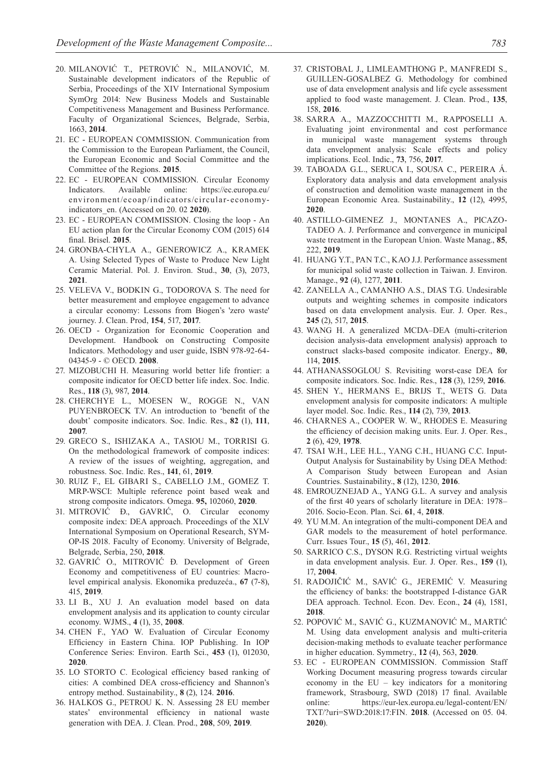- 20. MILANOVIĆ T., PETROVIĆ N., MILANOVIĆ, M. Sustainable development indicators of the Republic of Serbia, Proceedings of the XIV International Symposium SymOrg 2014: New Business Models and Sustainable Competitiveness Management and Business Performance. Faculty of Organizational Sciences, Belgrade, Serbia, 1663, **2014**.
- 21. EC EUROPEAN COMMISSION. Communication from the Commission to the European Parliament, the Council, the European Economic and Social Committee and the Committee of the Regions. **2015**.
- 22. EC EUROPEAN COMMISSION. Circular Economy Indicators. Available online: https://ec.europa.eu/ environment/ecoap/indicators/circular-economyindicators\_en. (Accessed on 20. 02 **2020**).
- 23. EC EUROPEAN COMMISSION. Closing the loop An EU action plan for the Circular Economy COM (2015) 614 final. Brisel. **2015**.
- 24. GRONBA-CHYLA A., GENEROWICZ A., KRAMEK A. Using Selected Types of Waste to Produce New Light Ceramic Material. Pol. J. Environ. Stud., **30**, (3), 2073, **2021**.
- 25. VELEVA V., BODKIN G., TODOROVA S. The need for better measurement and employee engagement to advance a circular economy: Lessons from Biogen's 'zero waste' journey. J. Clean. Prod, **154**, 517, **2017**.
- 26. OECD Organization for Economic Cooperation and Development. Handbook on Constructing Composite Indicators. Methodology and user guide, ISBN 978-92-64- 04345-9 - © OECD. **2008**.
- 27. MIZOBUCHI H. Measuring world better life frontier: a composite indicator for OECD better life index. Soc. Indic. Res., **118** (3), 987, **2014**.
- 28. CHERCHYE L., MOESEN W., ROGGE N., VAN PUYENBROECK T.V. An introduction to 'benefit of the doubt' composite indicators. Soc. Indic. Res., **82** (1), **111**, **2007**.
- 29. GRECO S., ISHIZAKA A., TASIOU M., TORRISI G. On the methodological framework of composite indices: A review of the issues of weighting, aggregation, and robustness. Soc. Indic. Res., **141**, 61, **2019**.
- 30. RUIZ F., EL GIBARI S., CABELLO J.M., GOMEZ T. MRP-WSCI: Multiple reference point based weak and strong composite indicators. Omega. **95,** 102060, **2020**.
- 31. MITROVIĆ Đ., GAVRIĆ, O. Circular economy composite index: DEA approach. Proceedings of the XLV International Symposium on Operational Research, SYM-OP-IS 2018. Faculty of Economy. University of Belgrade, Belgrade, Serbia, 250, **2018**.
- 32. GAVRIĆ O., MITROVIĆ Đ. Development of Green Economy and competitiveness of EU countries: Macrolevel empirical analysis. Ekonomika preduzeća., **67** (7-8), 415, **2019**.
- 33. LI B., XU J. An evaluation model based on data envelopment analysis and its application to county circular economy. WJMS., **4** (1), 35, **2008**.
- 34. CHEN F., YAO W. Evaluation of Circular Economy Efficiency in Eastern China. IOP Publishing. In IOP Conference Series: Environ. Earth Sci., **453** (1), 012030, **2020**.
- 35. LO STORTO C. Ecological efficiency based ranking of cities: A combined DEA cross-efficiency and Shannon's entropy method. Sustainability., **8** (2), 124. **2016**.
- 36. HALKOS G., PETROU K. N. Assessing 28 EU member states' environmental efficiency in national waste generation with DEA. J. Clean. Prod., **208**, 509, **2019**.
- 37. CRISTOBAL J., LIMLEAMTHONG P., MANFREDI S., GUILLEN-GOSALBEZ G. Methodology for combined use of data envelopment analysis and life cycle assessment applied to food waste management. J. Clean. Prod., **135**, 158, **2016**.
- 38. SARRA A., MAZZOCCHITTI M., RAPPOSELLI A. Evaluating joint environmental and cost performance in municipal waste management systems through data envelopment analysis: Scale effects and policy implications. Ecol. Indic., **73**, 756, **2017**.
- 39. TABOADA G.L., SERUCA I., SOUSA C., PEREIRA Á. Exploratory data analysis and data envelopment analysis of construction and demolition waste management in the European Economic Area. Sustainability., **12** (12), 4995, **2020**.
- 40. ASTILLO-GIMENEZ J., MONTANES A., PICAZO-TADEO A. J. Performance and convergence in municipal waste treatment in the European Union. Waste Manag., **85**, 222, **2019**.
- 41. HUANG Y.T., PAN T.C., KAO J.J. Performance assessment for municipal solid waste collection in Taiwan. J. Environ. Manage., **92** (4), 1277, **2011**.
- 42. ZANELLA A., CAMANHO A.S., DIAS T.G. Undesirable outputs and weighting schemes in composite indicators based on data envelopment analysis. Eur. J. Oper. Res., **245** (2), 517, **2015**.
- 43. WANG H. A generalized MCDA–DEA (multi-criterion decision analysis-data envelopment analysis) approach to construct slacks-based composite indicator. Energy., **80**, 114, **2015**.
- 44. ATHANASSOGLOU S. Revisiting worst-case DEA for composite indicators. Soc. Indic. Res., **128** (3), 1259, **2016**.
- 45. SHEN Y., HERMANS E., BRIJS T., WETS G. Data envelopment analysis for composite indicators: A multiple layer model. Soc. Indic. Res., **114** (2), 739, **2013**.
- 46. CHARNES A., COOPER W. W., RHODES E. Measuring the efficiency of decision making units. Eur. J. Oper. Res., **2** (6), 429, **1978**.
- 47. TSAI W.H., LEE H.L., YANG C.H., HUANG C.C. Input-Output Analysis for Sustainability by Using DEA Method: A Comparison Study between European and Asian Countries. Sustainability., **8** (12), 1230, **2016**.
- 48. EMROUZNEJAD A., YANG G.L. A survey and analysis of the first 40 years of scholarly literature in DEA: 1978– 2016. Socio-Econ. Plan. Sci. **61**, 4, **2018**.
- 49. YU M.M. An integration of the multi-component DEA and GAR models to the measurement of hotel performance. Curr. Issues Tour., **15** (5), 461, **2012**.
- 50. SARRICO C.S., DYSON R.G. Restricting virtual weights in data envelopment analysis. Eur. J. Oper. Res., **159** (1), 17, **2004**.
- 51. RADOJIČIĆ M., SAVIĆ G., JEREMIĆ V. Measuring the efficiency of banks: the bootstrapped I-distance GAR DEA approach. Technol. Econ. Dev. Econ., **24** (4), 1581, **2018**.
- 52. POPOVIĆ M., SAVIĆ G., KUZMANOVIĆ M., MARTIĆ M. Using data envelopment analysis and multi-criteria decision-making methods to evaluate teacher performance in higher education. Symmetry., **12** (4), 563, **2020**.
- 53. EC EUROPEAN COMMISSION. Commission Staff Working Document measuring progress towards circular economy in the EU – key indicators for a monitoring framework, Strasbourg, SWD (2018) 17 final. Available online: https://eur-lex.europa.eu/legal-content/EN/ TXT/?uri=SWD:2018:17:FIN. **2018**. (Accessed on 05. 04. **2020**).